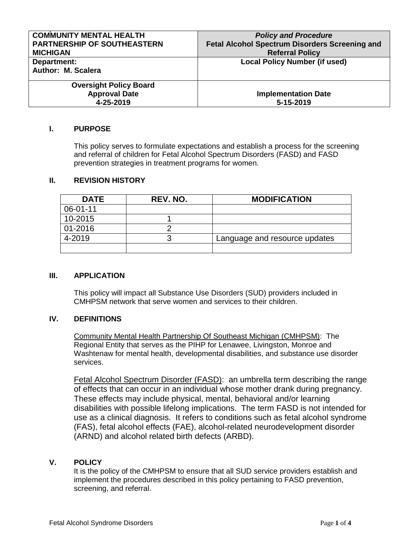| <b>COMMUNITY MENTAL HEALTH</b>     | <b>Policy and Procedure</b>                           |
|------------------------------------|-------------------------------------------------------|
| <b>PARTNERSHIP OF SOUTHEASTERN</b> | <b>Fetal Alcohol Spectrum Disorders Screening and</b> |
| <b>MICHIGAN</b>                    | <b>Referral Policy</b>                                |
| Department:                        | <b>Local Policy Number (if used)</b>                  |
| Author: M. Scalera                 |                                                       |
| <b>Oversight Policy Board</b>      |                                                       |
| <b>Approval Date</b>               | <b>Implementation Date</b>                            |
| 4-25-2019                          | 5-15-2019                                             |

## **I. PURPOSE**

This policy serves to formulate expectations and establish a process for the screening and referral of children for Fetal Alcohol Spectrum Disorders (FASD) and FASD prevention strategies in treatment programs for women.

### **II. REVISION HISTORY**

| <b>DATE</b> | REV. NO. | <b>MODIFICATION</b>           |
|-------------|----------|-------------------------------|
| 06-01-11    |          |                               |
| 10-2015     |          |                               |
| 01-2016     |          |                               |
| 4-2019      |          | Language and resource updates |
|             |          |                               |

## **III. APPLICATION**

This policy will impact all Substance Use Disorders (SUD) providers included in CMHPSM network that serve women and services to their children.

## **IV. DEFINITIONS**

Community Mental Health Partnership Of Southeast Michigan (CMHPSM): The Regional Entity that serves as the PIHP for Lenawee, Livingston, Monroe and Washtenaw for mental health, developmental disabilities, and substance use disorder services.

Fetal Alcohol Spectrum Disorder (FASD): an umbrella term describing the range of effects that can occur in an individual whose mother drank during pregnancy. These effects may include physical, mental, behavioral and/or learning disabilities with possible lifelong implications. The term FASD is not intended for use as a clinical diagnosis. It refers to conditions such as fetal alcohol syndrome (FAS), fetal alcohol effects (FAE), alcohol-related neurodevelopment disorder (ARND) and alcohol related birth defects (ARBD).

## **V. POLICY**

It is the policy of the CMHPSM to ensure that all SUD service providers establish and implement the procedures described in this policy pertaining to FASD prevention, screening, and referral.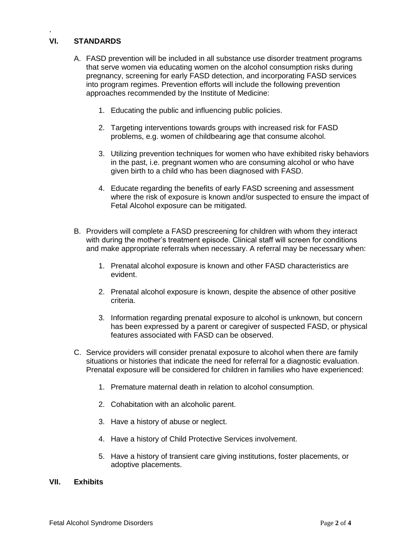# **VI. STANDARDS**

.

- A. FASD prevention will be included in all substance use disorder treatment programs that serve women via educating women on the alcohol consumption risks during pregnancy, screening for early FASD detection, and incorporating FASD services into program regimes. Prevention efforts will include the following prevention approaches recommended by the Institute of Medicine:
	- 1. Educating the public and influencing public policies.
	- 2. Targeting interventions towards groups with increased risk for FASD problems, e.g. women of childbearing age that consume alcohol.
	- 3. Utilizing prevention techniques for women who have exhibited risky behaviors in the past, i.e. pregnant women who are consuming alcohol or who have given birth to a child who has been diagnosed with FASD.
	- 4. Educate regarding the benefits of early FASD screening and assessment where the risk of exposure is known and/or suspected to ensure the impact of Fetal Alcohol exposure can be mitigated.
- B. Providers will complete a FASD prescreening for children with whom they interact with during the mother's treatment episode. Clinical staff will screen for conditions and make appropriate referrals when necessary. A referral may be necessary when:
	- 1. Prenatal alcohol exposure is known and other FASD characteristics are evident.
	- 2. Prenatal alcohol exposure is known, despite the absence of other positive criteria.
	- 3. Information regarding prenatal exposure to alcohol is unknown, but concern has been expressed by a parent or caregiver of suspected FASD, or physical features associated with FASD can be observed.
- C. Service providers will consider prenatal exposure to alcohol when there are family situations or histories that indicate the need for referral for a diagnostic evaluation. Prenatal exposure will be considered for children in families who have experienced:
	- 1. Premature maternal death in relation to alcohol consumption.
	- 2. Cohabitation with an alcoholic parent.
	- 3. Have a history of abuse or neglect.
	- 4. Have a history of Child Protective Services involvement.
	- 5. Have a history of transient care giving institutions, foster placements, or adoptive placements.

#### **VII. Exhibits**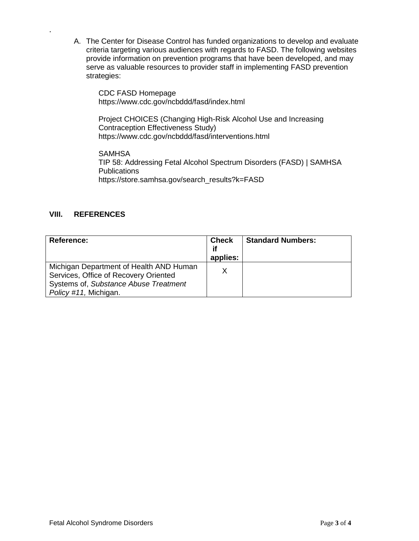A. The Center for Disease Control has funded organizations to develop and evaluate criteria targeting various audiences with regards to FASD. The following websites provide information on prevention programs that have been developed, and may serve as valuable resources to provider staff in implementing FASD prevention strategies:

CDC FASD Homepage <https://www.cdc.gov/ncbddd/fasd/index.html>

Project CHOICES (Changing High-Risk Alcohol Use and Increasing Contraception Effectiveness Study) <https://www.cdc.gov/ncbddd/fasd/interventions.html>

**SAMHSA** TIP 58: Addressing Fetal Alcohol Spectrum Disorders (FASD) | SAMHSA Publications [https://store.samhsa.gov/search\\_results?k=FASD](https://store.samhsa.gov/search_results?k=FASD)

## **VIII. REFERENCES**

.

| Reference:                                                                                                                                         | <b>Check</b><br>if<br>applies: | <b>Standard Numbers:</b> |
|----------------------------------------------------------------------------------------------------------------------------------------------------|--------------------------------|--------------------------|
| Michigan Department of Health AND Human<br>Services, Office of Recovery Oriented<br>Systems of, Substance Abuse Treatment<br>Policy #11, Michigan. | x                              |                          |